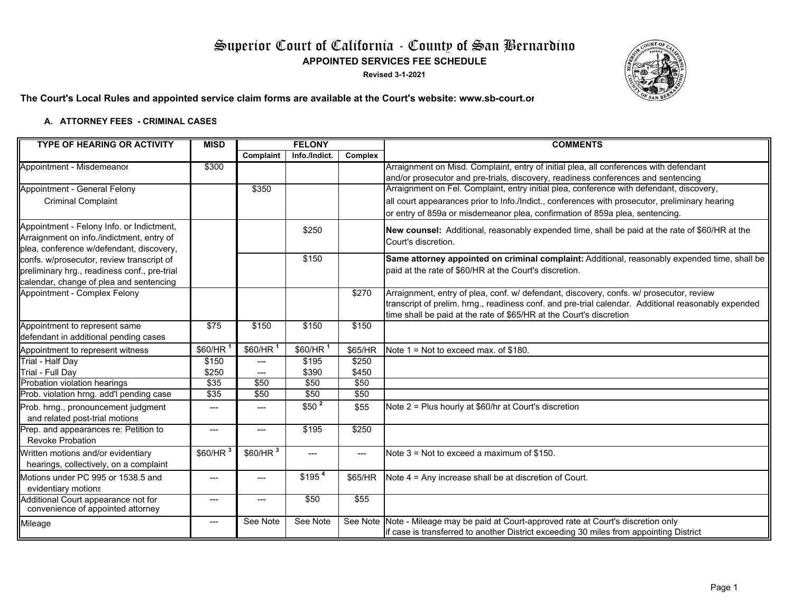# Superior Court of California - County of San Bernardino **APPOINTED SERVICES FEE SCHEDULE**

**Revised 3-1-2021**



## **The Court's Local Rules and appointed service claim forms are available at the Court's website: www.sb-court.or**

#### **A. ATTORNEY FEES - CRIMINAL CASE S**

| <b>TYPE OF HEARING OR ACTIVITY</b>           | <b>MISD</b>            | <b>FELONY</b>        |                      |          | <b>COMMENTS</b>                                                                                     |  |
|----------------------------------------------|------------------------|----------------------|----------------------|----------|-----------------------------------------------------------------------------------------------------|--|
|                                              |                        | Complaint            | Info./Indict.        | Complex  |                                                                                                     |  |
| Appointment - Misdemeanor                    | \$300                  |                      |                      |          | Arraignment on Misd. Complaint, entry of initial plea, all conferences with defendant               |  |
|                                              |                        |                      |                      |          | and/or prosecutor and pre-trials, discovery, readiness conferences and sentencing                   |  |
| Appointment - General Felony                 |                        | \$350                |                      |          | Arraignment on Fel. Complaint, entry initial plea, conference with defendant, discovery,            |  |
| <b>Criminal Complaint</b>                    |                        |                      |                      |          | all court appearances prior to Info./Indict., conferences with prosecutor, preliminary hearing      |  |
|                                              |                        |                      |                      |          | or entry of 859a or misdemeanor plea, confirmation of 859a plea, sentencing.                        |  |
| Appointment - Felony Info. or Indictment,    |                        |                      | \$250                |          | New counsel: Additional, reasonably expended time, shall be paid at the rate of \$60/HR at the      |  |
| Arraignment on info./indictment, entry of    |                        |                      |                      |          | Court's discretion.                                                                                 |  |
| plea, conference w/defendant, discovery,     |                        |                      |                      |          |                                                                                                     |  |
| confs. w/prosecutor, review transcript of    |                        |                      | \$150                |          | Same attorney appointed on criminal complaint: Additional, reasonably expended time, shall be       |  |
| preliminary hrg., readiness conf., pre-trial |                        |                      |                      |          | paid at the rate of \$60/HR at the Court's discretion.                                              |  |
| calendar, change of plea and sentencing      |                        |                      |                      |          |                                                                                                     |  |
| Appointment - Complex Felony                 |                        |                      |                      | \$270    | Arraignment, entry of plea, conf. w/ defendant, discovery, confs. w/ prosecutor, review             |  |
|                                              |                        |                      |                      |          | transcript of prelim. hrng., readiness conf. and pre-trial calendar. Additional reasonably expended |  |
|                                              |                        |                      |                      |          | time shall be paid at the rate of \$65/HR at the Court's discretion                                 |  |
| Appointment to represent same                | \$75                   | \$150                | \$150                | \$150    |                                                                                                     |  |
| defendant in additional pending cases        |                        |                      |                      |          |                                                                                                     |  |
| Appointment to represent witness             | \$60/HR                | \$60/HR <sup>1</sup> | \$60/HR <sup>1</sup> | \$65/HR  | Note $1 =$ Not to exceed max, of \$180.                                                             |  |
| Trial - Half Day                             | \$150                  | $\qquad \qquad - -$  | \$195                | \$250    |                                                                                                     |  |
| Trial - Full Dav                             | \$250                  | $\qquad \qquad - -$  | \$390                | \$450    |                                                                                                     |  |
| Probation violation hearings                 | \$35                   | \$50                 | \$50                 | \$50     |                                                                                                     |  |
| Prob. violation hrng. add'l pending case     | $\sqrt{$35}$           | \$50                 | \$50                 | \$50     |                                                                                                     |  |
| Prob. hrng., pronouncement judgment          | ---                    | ---                  | \$50 <sup>2</sup>    | \$55     | Note 2 = Plus hourly at \$60/hr at Court's discretion                                               |  |
| and related post-trial motions               |                        |                      |                      |          |                                                                                                     |  |
| Prep. and appearances re: Petition to        | ---                    | ---                  | \$195                | \$250    |                                                                                                     |  |
| <b>Revoke Probation</b>                      |                        |                      |                      |          |                                                                                                     |  |
| Written motions and/or evidentiary           | $$60/HR^3$             | $$60/HR^3$           | ---                  | ---      | Note $3 =$ Not to exceed a maximum of \$150.                                                        |  |
| hearings, collectively, on a complaint       |                        |                      |                      |          |                                                                                                     |  |
| Motions under PC 995 or 1538.5 and           | ---                    | ---                  | \$195 <sup>4</sup>   | \$65/HR  | Note 4 = Any increase shall be at discretion of Court.                                              |  |
| evidentiary motions                          |                        |                      |                      |          |                                                                                                     |  |
| Additional Court appearance not for          | $\qquad \qquad \cdots$ | $\qquad \qquad - -$  | \$50                 | \$55     |                                                                                                     |  |
| convenience of appointed attorney            |                        |                      |                      |          |                                                                                                     |  |
| Mileage                                      | $\qquad \qquad \cdots$ | See Note             | See Note             | See Note | Note - Mileage may be paid at Court-approved rate at Court's discretion only                        |  |
|                                              |                        |                      |                      |          | if case is transferred to another District exceeding 30 miles from appointing District              |  |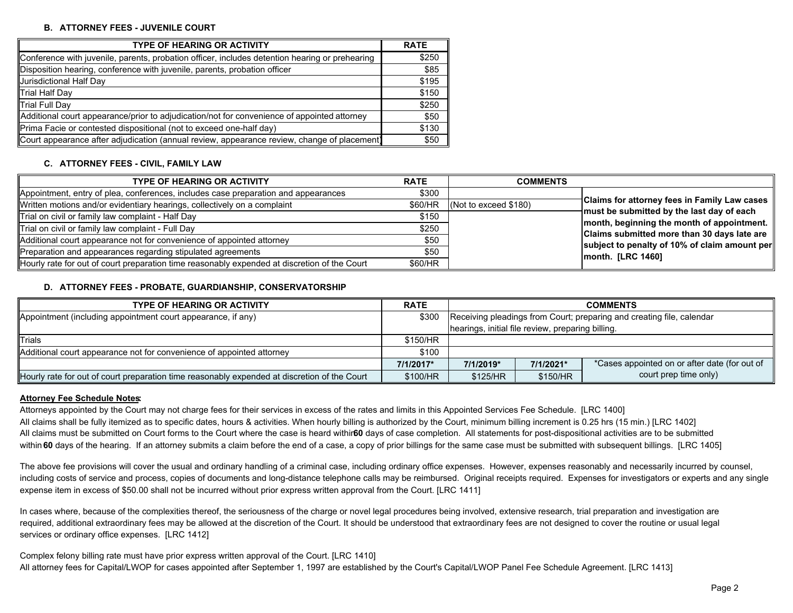#### **B. ATTORNEY FEES - JUVENILE COURT**

| <b>TYPE OF HEARING OR ACTIVITY</b>                                                             | <b>RATE</b> |
|------------------------------------------------------------------------------------------------|-------------|
| Conference with juvenile, parents, probation officer, includes detention hearing or prehearing | \$250       |
| Disposition hearing, conference with juvenile, parents, probation officer                      | \$85        |
| Jurisdictional Half Day                                                                        | \$195       |
| Trial Half Day                                                                                 | \$150       |
| Trial Full Day                                                                                 | \$250       |
| Additional court appearance/prior to adjudication/not for convenience of appointed attorney    | \$50        |
| Prima Facie or contested dispositional (not to exceed one-half day)                            | \$130       |
| Court appearance after adjudication (annual review, appearance review, change of placement)    | \$50        |

#### **C. ATTORNEY FEES - CIVIL, FAMILY LAW**

| <b>TYPE OF HEARING OR ACTIVITY</b>                                                           | <b>RATE</b> | <b>COMMENTS</b>       |                                                                                              |
|----------------------------------------------------------------------------------------------|-------------|-----------------------|----------------------------------------------------------------------------------------------|
| Appointment, entry of plea, conferences, includes case preparation and appearances           | \$300       |                       |                                                                                              |
| Written motions and/or evidentiary hearings, collectively on a complaint                     | \$60/HR     | (Not to exceed \$180) | Claims for attorney fees in Family Law cases                                                 |
| Trial on civil or family law complaint - Half Day                                            | \$150       |                       | $+m$ ust be submitted by the last day of each                                                |
| Trial on civil or family law complaint - Full Day                                            | \$250       |                       | month, beginning the month of appointment.                                                   |
| Additional court appearance not for convenience of appointed attorney                        | \$50        |                       | Claims submitted more than 30 days late are<br>subject to penalty of 10% of claim amount per |
| Preparation and appearances regarding stipulated agreements                                  | \$50        |                       | $ $ month. $[LRC 1460]$                                                                      |
| Hourly rate for out of court preparation time reasonably expended at discretion of the Court | \$60/HR     |                       |                                                                                              |

#### **D. ATTORNEY FEES - PROBATE, GUARDIANSHIP, CONSERVATORSHIP**

| <b>TYPE OF HEARING OR ACTIVITY</b>                                                           |           | <b>COMMENTS</b>                                                       |           |                                               |
|----------------------------------------------------------------------------------------------|-----------|-----------------------------------------------------------------------|-----------|-----------------------------------------------|
| Appointment (including appointment court appearance, if any)                                 |           | Receiving pleadings from Court; preparing and creating file, calendar |           |                                               |
|                                                                                              |           | hearings, initial file review, preparing billing.                     |           |                                               |
| <b>Trials</b>                                                                                | \$150/HR  |                                                                       |           |                                               |
| Additional court appearance not for convenience of appointed attorney                        | \$100     |                                                                       |           |                                               |
|                                                                                              | 7/1/2017* | 7/1/2019*                                                             | 7/1/2021* | *Cases appointed on or after date (for out of |
| Hourly rate for out of court preparation time reasonably expended at discretion of the Court | \$100/HR  | \$125/HR                                                              | \$150/HR  | court prep time only)                         |

#### **Attorney Fee Schedule Notes:**

Attorneys appointed by the Court may not charge fees for their services in excess of the rates and limits in this Appointed Services Fee Schedule. [LRC 1400] All claims shall be fully itemized as to specific dates, hours & activities. When hourly billing is authorized by the Court, minimum billing increment is 0.25 hrs (15 min.) [LRC 1402] All claims must be submitted on Court forms to the Court where the case is heard withir**60** days of case completion. All statements for post-dispositional activities are to be submitted within 60 days of the hearing. If an attorney submits a claim before the end of a case, a copy of prior billings for the same case must be submitted with subsequent billings. [LRC 1405]

The above fee provisions will cover the usual and ordinary handling of a criminal case, including ordinary office expenses. However, expenses reasonably and necessarily incurred by counsel, including costs of service and process, copies of documents and long-distance telephone calls may be reimbursed. Original receipts required. Expenses for investigators or experts and any single expense item in excess of \$50.00 shall not be incurred without prior express written approval from the Court. [LRC 1411]

In cases where, because of the complexities thereof, the seriousness of the charge or novel legal procedures being involved, extensive research, trial preparation and investigation are required, additional extraordinary fees may be allowed at the discretion of the Court. It should be understood that extraordinary fees are not designed to cover the routine or usual legal services or ordinary office expenses. [LRC 1412]

Complex felony billing rate must have prior express written approval of the Court. [LRC 1410] All attorney fees for Capital/LWOP for cases appointed after September 1, 1997 are established by the Court's Capital/LWOP Panel Fee Schedule Agreement. [LRC 1413]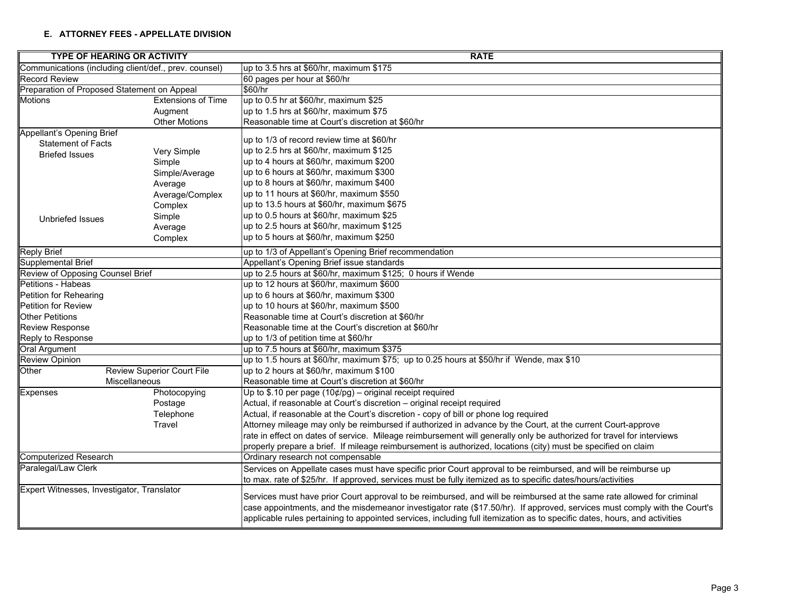#### **E. ATTORNEY FEES - APPELLATE DIVISION**

|                                                       | <b>TYPE OF HEARING OR ACTIVITY</b> | <b>RATE</b>                                                                                                                                                                                                                                                                                                                                                                      |  |  |  |  |
|-------------------------------------------------------|------------------------------------|----------------------------------------------------------------------------------------------------------------------------------------------------------------------------------------------------------------------------------------------------------------------------------------------------------------------------------------------------------------------------------|--|--|--|--|
| Communications (including client/def., prev. counsel) |                                    | up to 3.5 hrs at \$60/hr, maximum \$175                                                                                                                                                                                                                                                                                                                                          |  |  |  |  |
| <b>Record Review</b>                                  |                                    | 60 pages per hour at \$60/hr                                                                                                                                                                                                                                                                                                                                                     |  |  |  |  |
| Preparation of Proposed Statement on Appeal           |                                    | \$60/hr                                                                                                                                                                                                                                                                                                                                                                          |  |  |  |  |
| <b>Motions</b>                                        | <b>Extensions of Time</b>          | up to 0.5 hr at \$60/hr, maximum \$25                                                                                                                                                                                                                                                                                                                                            |  |  |  |  |
|                                                       | Augment                            | up to 1.5 hrs at \$60/hr, maximum \$75                                                                                                                                                                                                                                                                                                                                           |  |  |  |  |
|                                                       | <b>Other Motions</b>               | Reasonable time at Court's discretion at \$60/hr                                                                                                                                                                                                                                                                                                                                 |  |  |  |  |
| Appellant's Opening Brief                             |                                    |                                                                                                                                                                                                                                                                                                                                                                                  |  |  |  |  |
| <b>Statement of Facts</b>                             |                                    | up to 1/3 of record review time at \$60/hr                                                                                                                                                                                                                                                                                                                                       |  |  |  |  |
| <b>Briefed Issues</b>                                 | Very Simple                        | up to 2.5 hrs at \$60/hr, maximum \$125                                                                                                                                                                                                                                                                                                                                          |  |  |  |  |
|                                                       | Simple                             | up to 4 hours at \$60/hr, maximum \$200                                                                                                                                                                                                                                                                                                                                          |  |  |  |  |
|                                                       | Simple/Average                     | up to 6 hours at \$60/hr, maximum \$300                                                                                                                                                                                                                                                                                                                                          |  |  |  |  |
|                                                       | Average                            | up to 8 hours at \$60/hr, maximum \$400                                                                                                                                                                                                                                                                                                                                          |  |  |  |  |
|                                                       | Average/Complex                    | up to 11 hours at \$60/hr, maximum \$550                                                                                                                                                                                                                                                                                                                                         |  |  |  |  |
|                                                       | Complex                            | up to 13.5 hours at \$60/hr, maximum \$675                                                                                                                                                                                                                                                                                                                                       |  |  |  |  |
| <b>Unbriefed Issues</b>                               | Simple                             | up to 0.5 hours at \$60/hr, maximum \$25                                                                                                                                                                                                                                                                                                                                         |  |  |  |  |
|                                                       | Average                            | up to 2.5 hours at \$60/hr, maximum \$125                                                                                                                                                                                                                                                                                                                                        |  |  |  |  |
|                                                       | Complex                            | up to 5 hours at \$60/hr, maximum \$250                                                                                                                                                                                                                                                                                                                                          |  |  |  |  |
| <b>Reply Brief</b>                                    |                                    | up to 1/3 of Appellant's Opening Brief recommendation                                                                                                                                                                                                                                                                                                                            |  |  |  |  |
| Supplemental Brief                                    |                                    | Appellant's Opening Brief issue standards                                                                                                                                                                                                                                                                                                                                        |  |  |  |  |
| Review of Opposing Counsel Brief                      |                                    | up to 2.5 hours at \$60/hr, maximum \$125; 0 hours if Wende                                                                                                                                                                                                                                                                                                                      |  |  |  |  |
| Petitions - Habeas                                    |                                    | up to 12 hours at \$60/hr, maximum \$600                                                                                                                                                                                                                                                                                                                                         |  |  |  |  |
| Petition for Rehearing                                |                                    | up to 6 hours at \$60/hr, maximum \$300                                                                                                                                                                                                                                                                                                                                          |  |  |  |  |
| Petition for Review                                   |                                    | up to 10 hours at \$60/hr, maximum \$500                                                                                                                                                                                                                                                                                                                                         |  |  |  |  |
| <b>Other Petitions</b>                                |                                    | Reasonable time at Court's discretion at \$60/hr                                                                                                                                                                                                                                                                                                                                 |  |  |  |  |
| <b>Review Response</b>                                |                                    | Reasonable time at the Court's discretion at \$60/hr                                                                                                                                                                                                                                                                                                                             |  |  |  |  |
| Reply to Response                                     |                                    | up to 1/3 of petition time at \$60/hr                                                                                                                                                                                                                                                                                                                                            |  |  |  |  |
| <b>Oral Argument</b>                                  |                                    | up to 7.5 hours at \$60/hr, maximum \$375                                                                                                                                                                                                                                                                                                                                        |  |  |  |  |
| <b>Review Opinion</b>                                 |                                    | up to 1.5 hours at \$60/hr, maximum \$75; up to 0.25 hours at \$50/hr if Wende, max \$10                                                                                                                                                                                                                                                                                         |  |  |  |  |
| Other                                                 | <b>Review Superior Court File</b>  | up to 2 hours at \$60/hr, maximum \$100                                                                                                                                                                                                                                                                                                                                          |  |  |  |  |
|                                                       | <b>Miscellaneous</b>               | Reasonable time at Court's discretion at \$60/hr                                                                                                                                                                                                                                                                                                                                 |  |  |  |  |
| <b>Expenses</b>                                       | Photocopying                       | Up to \$.10 per page $(10¢/pg)$ – original receipt required                                                                                                                                                                                                                                                                                                                      |  |  |  |  |
|                                                       | Postage                            | Actual, if reasonable at Court's discretion - original receipt required                                                                                                                                                                                                                                                                                                          |  |  |  |  |
|                                                       | Telephone                          | Actual, if reasonable at the Court's discretion - copy of bill or phone log required                                                                                                                                                                                                                                                                                             |  |  |  |  |
|                                                       | Travel                             | Attorney mileage may only be reimbursed if authorized in advance by the Court, at the current Court-approve                                                                                                                                                                                                                                                                      |  |  |  |  |
|                                                       |                                    | rate in effect on dates of service. Mileage reimbursement will generally only be authorized for travel for interviews                                                                                                                                                                                                                                                            |  |  |  |  |
|                                                       |                                    | properly prepare a brief. If mileage reimbursement is authorized, locations (city) must be specified on claim                                                                                                                                                                                                                                                                    |  |  |  |  |
| <b>Computerized Research</b>                          |                                    | Ordinary research not compensable                                                                                                                                                                                                                                                                                                                                                |  |  |  |  |
| Paralegal/Law Clerk                                   |                                    | Services on Appellate cases must have specific prior Court approval to be reimbursed, and will be reimburse up                                                                                                                                                                                                                                                                   |  |  |  |  |
|                                                       |                                    | to max. rate of \$25/hr. If approved, services must be fully itemized as to specific dates/hours/activities                                                                                                                                                                                                                                                                      |  |  |  |  |
| Expert Witnesses, Investigator, Translator            |                                    | Services must have prior Court approval to be reimbursed, and will be reimbursed at the same rate allowed for criminal<br>case appointments, and the misdemeanor investigator rate (\$17.50/hr). If approved, services must comply with the Court's<br>applicable rules pertaining to appointed services, including full itemization as to specific dates, hours, and activities |  |  |  |  |